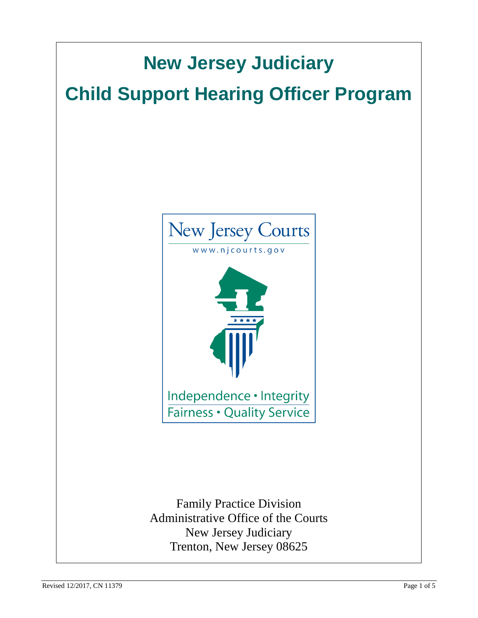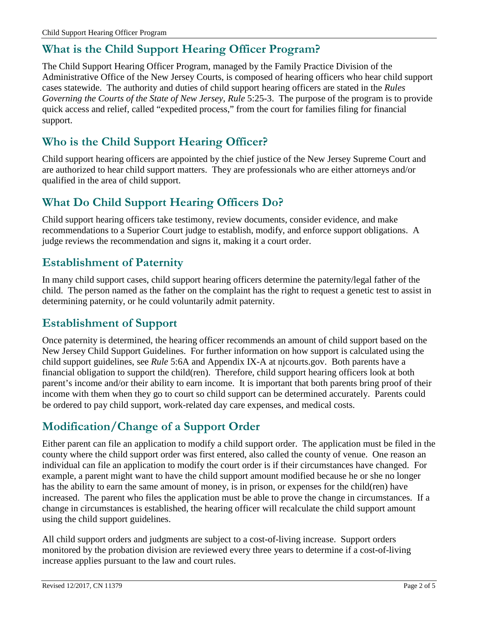# **What is the Child Support Hearing Officer Program?**

The Child Support Hearing Officer Program, managed by the Family Practice Division of the Administrative Office of the New Jersey Courts, is composed of hearing officers who hear child support cases statewide. The authority and duties of child support hearing officers are stated in the *Rules Governing the Courts of the State of New Jersey*, *Rule* 5:25-3. The purpose of the program is to provide quick access and relief, called "expedited process," from the court for families filing for financial support.

# **Who is the Child Support Hearing Officer?**

Child support hearing officers are appointed by the chief justice of the New Jersey Supreme Court and are authorized to hear child support matters. They are professionals who are either attorneys and/or qualified in the area of child support.

## **What Do Child Support Hearing Officers Do?**

Child support hearing officers take testimony, review documents, consider evidence, and make recommendations to a Superior Court judge to establish, modify, and enforce support obligations. A judge reviews the recommendation and signs it, making it a court order.

### **Establishment of Paternity**

In many child support cases, child support hearing officers determine the paternity/legal father of the child. The person named as the father on the complaint has the right to request a genetic test to assist in determining paternity, or he could voluntarily admit paternity.

### **Establishment of Support**

Once paternity is determined, the hearing officer recommends an amount of child support based on the New Jersey Child Support Guidelines. For further information on how support is calculated using the child support guidelines, see *Rule* 5:6A and Appendix IX-A at njcourts.gov. Both parents have a financial obligation to support the child(ren). Therefore, child support hearing officers look at both parent's income and/or their ability to earn income. It is important that both parents bring proof of their income with them when they go to court so child support can be determined accurately. Parents could be ordered to pay child support, work-related day care expenses, and medical costs.

# **Modification/Change of a Support Order**

Either parent can file an application to modify a child support order. The application must be filed in the county where the child support order was first entered, also called the county of venue. One reason an individual can file an application to modify the court order is if their circumstances have changed. For example, a parent might want to have the child support amount modified because he or she no longer has the ability to earn the same amount of money, is in prison, or expenses for the child(ren) have increased. The parent who files the application must be able to prove the change in circumstances. If a change in circumstances is established, the hearing officer will recalculate the child support amount using the child support guidelines.

All child support orders and judgments are subject to a cost-of-living increase. Support orders monitored by the probation division are reviewed every three years to determine if a cost-of-living increase applies pursuant to the law and court rules.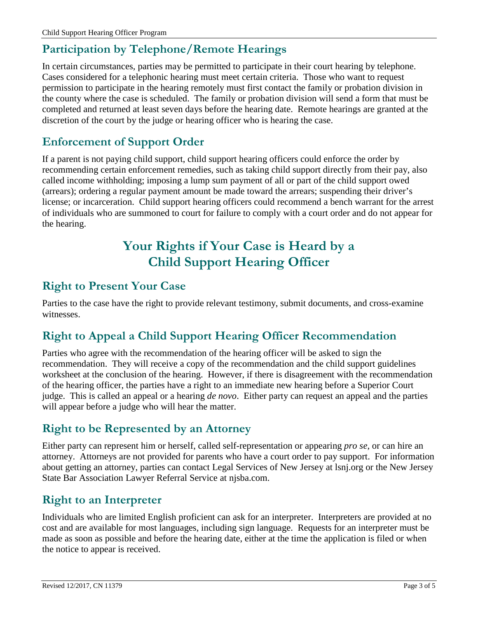# **Participation by Telephone/Remote Hearings**

In certain circumstances, parties may be permitted to participate in their court hearing by telephone. Cases considered for a telephonic hearing must meet certain criteria. Those who want to request permission to participate in the hearing remotely must first contact the family or probation division in the county where the case is scheduled. The family or probation division will send a form that must be completed and returned at least seven days before the hearing date. Remote hearings are granted at the discretion of the court by the judge or hearing officer who is hearing the case.

### **Enforcement of Support Order**

If a parent is not paying child support, child support hearing officers could enforce the order by recommending certain enforcement remedies, such as taking child support directly from their pay, also called income withholding; imposing a lump sum payment of all or part of the child support owed (arrears); ordering a regular payment amount be made toward the arrears; suspending their driver's license; or incarceration. Child support hearing officers could recommend a bench warrant for the arrest of individuals who are summoned to court for failure to comply with a court order and do not appear for the hearing.

# **Your Rights if Your Case is Heard by a Child Support Hearing Officer**

### **Right to Present Your Case**

Parties to the case have the right to provide relevant testimony, submit documents, and cross-examine witnesses.

### **Right to Appeal a Child Support Hearing Officer Recommendation**

Parties who agree with the recommendation of the hearing officer will be asked to sign the recommendation. They will receive a copy of the recommendation and the child support guidelines worksheet at the conclusion of the hearing. However, if there is disagreement with the recommendation of the hearing officer, the parties have a right to an immediate new hearing before a Superior Court judge. This is called an appeal or a hearing *de novo*. Either party can request an appeal and the parties will appear before a judge who will hear the matter.

## **Right to be Represented by an Attorney**

Either party can represent him or herself, called self-representation or appearing *pro se*, or can hire an attorney. Attorneys are not provided for parents who have a court order to pay support. For information about getting an attorney, parties can contact Legal Services of New Jersey at lsnj.org or the New Jersey State Bar Association Lawyer Referral Service at njsba.com.

### **Right to an Interpreter**

Individuals who are limited English proficient can ask for an interpreter. Interpreters are provided at no cost and are available for most languages, including sign language. Requests for an interpreter must be made as soon as possible and before the hearing date, either at the time the application is filed or when the notice to appear is received.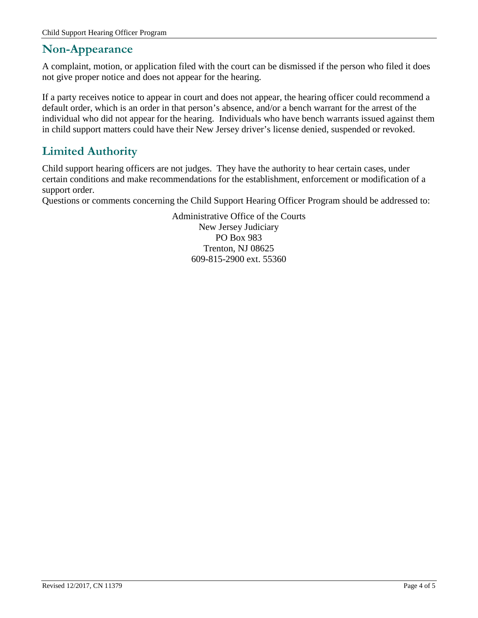#### **Non-Appearance**

A complaint, motion, or application filed with the court can be dismissed if the person who filed it does not give proper notice and does not appear for the hearing.

If a party receives notice to appear in court and does not appear, the hearing officer could recommend a default order, which is an order in that person's absence, and/or a bench warrant for the arrest of the individual who did not appear for the hearing. Individuals who have bench warrants issued against them in child support matters could have their New Jersey driver's license denied, suspended or revoked.

## **Limited Authority**

Child support hearing officers are not judges. They have the authority to hear certain cases, under certain conditions and make recommendations for the establishment, enforcement or modification of a support order.

Questions or comments concerning the Child Support Hearing Officer Program should be addressed to:

Administrative Office of the Courts New Jersey Judiciary PO Box 983 Trenton, NJ 08625 609-815-2900 ext. 55360